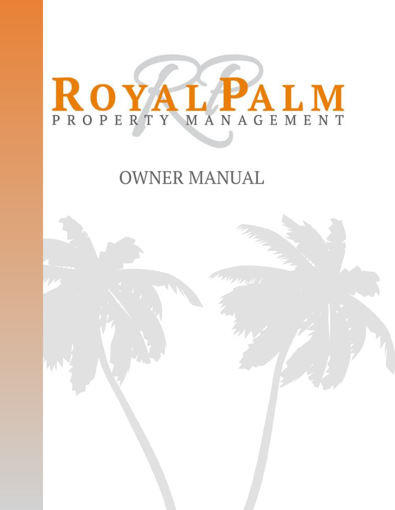# ROYAL PALM

## **OWNER MANUAL**

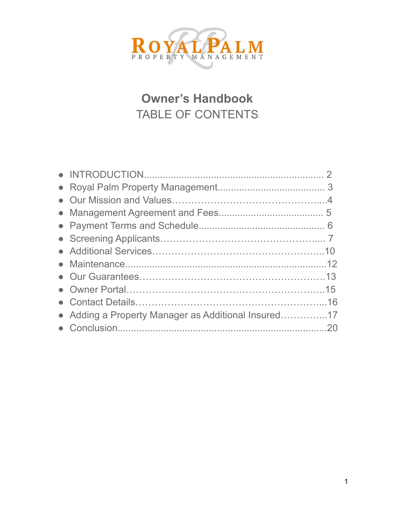

## **Owner's Handbook** TABLE OF CONTENTS

| • Adding a Property Manager as Additional Insured17 |  |
|-----------------------------------------------------|--|
|                                                     |  |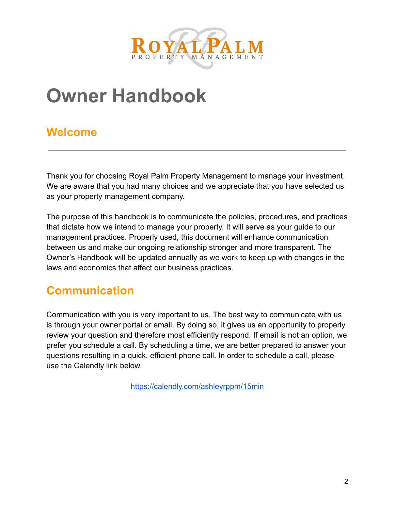

# **Owner Handbook**

## **Welcome**

Thank you for choosing Royal Palm Property Management to manage your investment. We are aware that you had many choices and we appreciate that you have selected us as your property management company.

The purpose of this handbook is to communicate the policies, procedures, and practices that dictate how we intend to manage your property. It will serve as your guide to our management practices. Properly used, this document will enhance communication between us and make our ongoing relationship stronger and more transparent. The Owner's Handbook will be updated annually as we work to keep up with changes in the laws and economics that affect our business practices.

## **Communication**

Communication with you is very important to us. The best way to communicate with us is through your owner portal or email. By doing so, it gives us an opportunity to properly review your question and therefore most efficiently respond. If email is not an option, we prefer you schedule a call. By scheduling a time, we are better prepared to answer your questions resulting in a quick, efficient phone call. In order to schedule a call, please use the Calendly link below.

<https://calendly.com/ashleyrppm/15min>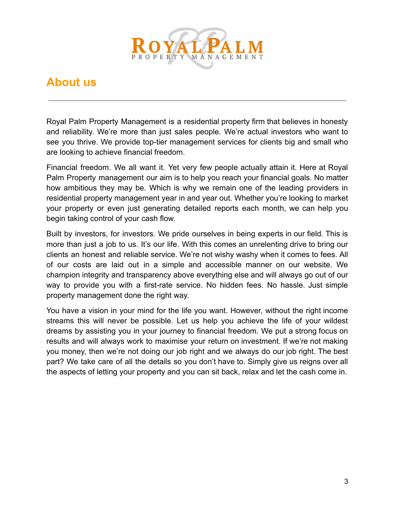

## **About us**

Royal Palm Property Management is a residential property firm that believes in honesty and reliability. We're more than just sales people. We're actual investors who want to see you thrive. We provide top-tier management services for clients big and small who are looking to achieve financial freedom.

Financial freedom. We all want it. Yet very few people actually attain it. Here at Royal Palm Property management our aim is to help you reach your financial goals. No matter how ambitious they may be. Which is why we remain one of the leading providers in residential property management year in and year out. Whether you're looking to market your property or even just generating detailed reports each month, we can help you begin taking control of your cash flow.

Built by investors, for investors. We pride ourselves in being experts in our field. This is more than just a job to us. It's our life. With this comes an unrelenting drive to bring our clients an honest and reliable service. We're not wishy washy when it comes to fees. All of our costs are laid out in a simple and accessible manner on our website. We champion integrity and transparency above everything else and will always go out of our way to provide you with a first-rate service. No hidden fees. No hassle. Just simple property management done the right way.

You have a vision in your mind for the life you want. However, without the right income streams this will never be possible. Let us help you achieve the life of your wildest dreams by assisting you in your journey to financial freedom. We put a strong focus on results and will always work to maximise your return on investment. If we're not making you money, then we're not doing our job right and we always do our job right. The best part? We take care of all the details so you don't have to. Simply give us reigns over all the aspects of letting your property and you can sit back, relax and let the cash come in.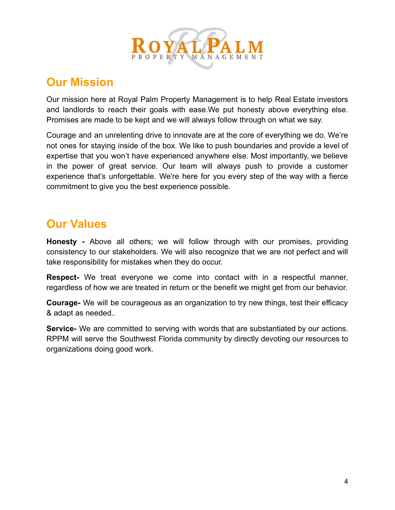

## **Our Mission**

Our mission here at Royal Palm Property Management is to help Real Estate investors and landlords to reach their goals with ease.We put honesty above everything else. Promises are made to be kept and we will always follow through on what we say.

Courage and an unrelenting drive to innovate are at the core of everything we do. We're not ones for staying inside of the box. We like to push boundaries and provide a level of expertise that you won't have experienced anywhere else. Most importantly, we believe in the power of great service. Our team will always push to provide a customer experience that's unforgettable. We're here for you every step of the way with a fierce commitment to give you the best experience possible.

## **Our Values**

**Honesty -** Above all others; we will follow through with our promises, providing consistency to our stakeholders. We will also recognize that we are not perfect and will take responsibility for mistakes when they do occur.

**Respect-** We treat everyone we come into contact with in a respectful manner, regardless of how we are treated in return or the benefit we might get from our behavior.

**Courage-** We will be courageous as an organization to try new things, test their efficacy & adapt as needed..

**Service-** We are committed to serving with words that are substantiated by our actions. RPPM will serve the Southwest Florida community by directly devoting our resources to organizations doing good work.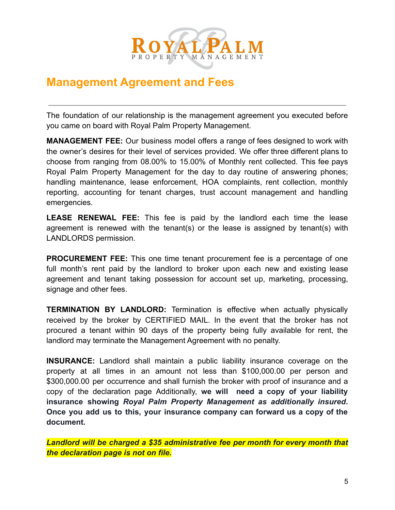

### **Management Agreement and Fees**

The foundation of our relationship is the management agreement you executed before you came on board with Royal Palm Property Management.

**MANAGEMENT FEE:** Our business model offers a range of fees designed to work with the owner's desires for their level of services provided. We offer three different plans to choose from ranging from 08.00% to 15.00% of Monthly rent collected. This fee pays Royal Palm Property Management for the day to day routine of answering phones; handling maintenance, lease enforcement, HOA complaints, rent collection, monthly reporting, accounting for tenant charges, trust account management and handling emergencies.

**LEASE RENEWAL FEE:** This fee is paid by the landlord each time the lease agreement is renewed with the tenant(s) or the lease is assigned by tenant(s) with LANDLORDS permission.

**PROCUREMENT FEE:** This one time tenant procurement fee is a percentage of one full month's rent paid by the landlord to broker upon each new and existing lease agreement and tenant taking possession for account set up, marketing, processing, signage and other fees.

**TERMINATION BY LANDLORD:** Termination is effective when actually physically received by the broker by CERTIFIED MAIL. In the event that the broker has not procured a tenant within 90 days of the property being fully available for rent, the landlord may terminate the Management Agreement with no penalty.

**INSURANCE:** Landlord shall maintain a public liability insurance coverage on the property at all times in an amount not less than \$100,000.00 per person and \$300,000.00 per occurrence and shall furnish the broker with proof of insurance and a copy of the declaration page Additionally, **we will need a copy of your liability insurance showing** *Royal Palm Property Management as additionally insured***. Once you add us to this, your insurance company can forward us a copy of the document.**

*Landlord will be charged a \$35 administrative fee per month for every month that the declaration page is not on file.*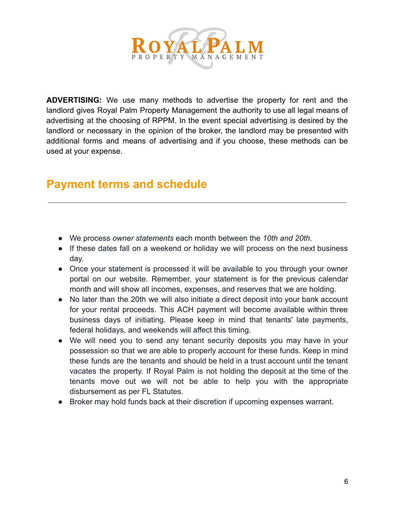

**ADVERTISING:** We use many methods to advertise the property for rent and the landlord gives Royal Palm Property Management the authority to use all legal means of advertising at the choosing of RPPM. In the event special advertising is desired by the landlord or necessary in the opinion of the broker, the landlord may be presented with additional forms and means of advertising and if you choose, these methods can be used at your expense.

## **Payment terms and schedule**

- We process *owner statements* each month between the *10th and 20th*.
- If these dates fall on a weekend or holiday we will process on the next business day.
- Once your statement is processed it will be available to you through your owner portal on our website. Remember, your statement is for the previous calendar month and will show all incomes, expenses, and reserves that we are holding.
- No later than the 20th we will also initiate a direct deposit into your bank account for your rental proceeds. This ACH payment will become available within three business days of initiating. Please keep in mind that tenants' late payments, federal holidays, and weekends will affect this timing.
- We will need you to send any tenant security deposits you may have in your possession so that we are able to properly account for these funds. Keep in mind these funds are the tenants and should be held in a trust account until the tenant vacates the property. If Royal Palm is not holding the deposit at the time of the tenants move out we will not be able to help you with the appropriate disbursement as per FL Statutes.
- Broker may hold funds back at their discretion if upcoming expenses warrant.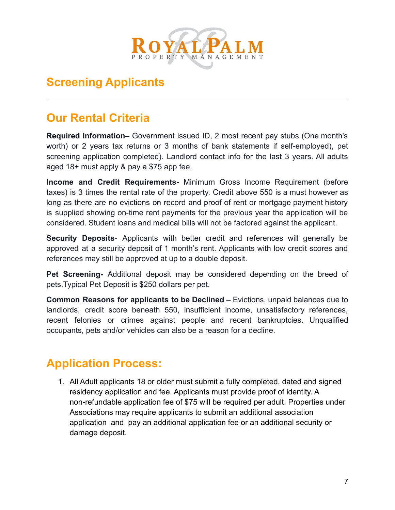

## **Screening Applicants**

## **Our Rental Criteria**

**Required Information–** Government issued ID, 2 most recent pay stubs (One month's worth) or 2 years tax returns or 3 months of bank statements if self-employed), pet screening application completed). Landlord contact info for the last 3 years. All adults aged 18+ must apply & pay a \$75 app fee.

**Income and Credit Requirements-** Minimum Gross Income Requirement (before taxes) is 3 times the rental rate of the property. Credit above 550 is a must however as long as there are no evictions on record and proof of rent or mortgage payment history is supplied showing on-time rent payments for the previous year the application will be considered. Student loans and medical bills will not be factored against the applicant.

**Security Deposits**- Applicants with better credit and references will generally be approved at a security deposit of 1 month's rent. Applicants with low credit scores and references may still be approved at up to a double deposit.

**Pet Screening-** Additional deposit may be considered depending on the breed of pets.Typical Pet Deposit is \$250 dollars per pet.

**Common Reasons for applicants to be Declined –** Evictions, unpaid balances due to landlords, credit score beneath 550, insufficient income, unsatisfactory references, recent felonies or crimes against people and recent bankruptcies. Unqualified occupants, pets and/or vehicles can also be a reason for a decline.

## **Application Process:**

1. All Adult applicants 18 or older must submit a fully completed, dated and signed residency application and fee. Applicants must provide proof of identity. A non-refundable application fee of \$75 will be required per adult. Properties under Associations may require applicants to submit an additional association application and pay an additional application fee or an additional security or damage deposit.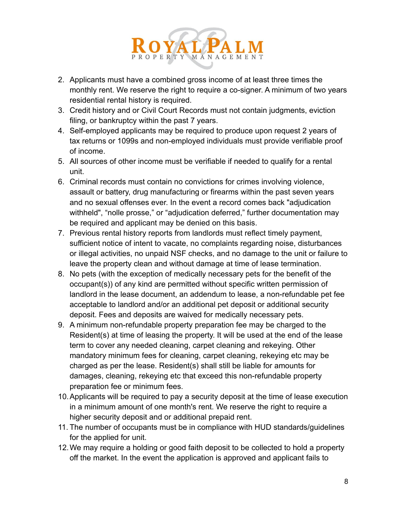

- 2. Applicants must have a combined gross income of at least three times the monthly rent. We reserve the right to require a co-signer. A minimum of two years residential rental history is required.
- 3. Credit history and or Civil Court Records must not contain judgments, eviction filing, or bankruptcy within the past 7 years.
- 4. Self-employed applicants may be required to produce upon request 2 years of tax returns or 1099s and non-employed individuals must provide verifiable proof of income.
- 5. All sources of other income must be verifiable if needed to qualify for a rental unit.
- 6. Criminal records must contain no convictions for crimes involving violence, assault or battery, drug manufacturing or firearms within the past seven years and no sexual offenses ever. In the event a record comes back "adjudication withheld", "nolle prosse," or "adjudication deferred," further documentation may be required and applicant may be denied on this basis.
- 7. Previous rental history reports from landlords must reflect timely payment, sufficient notice of intent to vacate, no complaints regarding noise, disturbances or illegal activities, no unpaid NSF checks, and no damage to the unit or failure to leave the property clean and without damage at time of lease termination.
- 8. No pets (with the exception of medically necessary pets for the benefit of the occupant(s)) of any kind are permitted without specific written permission of landlord in the lease document, an addendum to lease, a non-refundable pet fee acceptable to landlord and/or an additional pet deposit or additional security deposit. Fees and deposits are waived for medically necessary pets.
- 9. A minimum non-refundable property preparation fee may be charged to the Resident(s) at time of leasing the property. It will be used at the end of the lease term to cover any needed cleaning, carpet cleaning and rekeying. Other mandatory minimum fees for cleaning, carpet cleaning, rekeying etc may be charged as per the lease. Resident(s) shall still be liable for amounts for damages, cleaning, rekeying etc that exceed this non-refundable property preparation fee or minimum fees.
- 10.Applicants will be required to pay a security deposit at the time of lease execution in a minimum amount of one month's rent. We reserve the right to require a higher security deposit and or additional prepaid rent.
- 11. The number of occupants must be in compliance with HUD standards/guidelines for the applied for unit.
- 12.We may require a holding or good faith deposit to be collected to hold a property off the market. In the event the application is approved and applicant fails to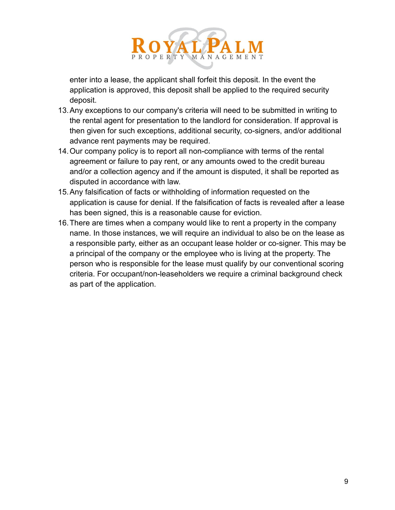

enter into a lease, the applicant shall forfeit this deposit. In the event the application is approved, this deposit shall be applied to the required security deposit.

- 13.Any exceptions to our company's criteria will need to be submitted in writing to the rental agent for presentation to the landlord for consideration. If approval is then given for such exceptions, additional security, co-signers, and/or additional advance rent payments may be required.
- 14.Our company policy is to report all non-compliance with terms of the rental agreement or failure to pay rent, or any amounts owed to the credit bureau and/or a collection agency and if the amount is disputed, it shall be reported as disputed in accordance with law.
- 15.Any falsification of facts or withholding of information requested on the application is cause for denial. If the falsification of facts is revealed after a lease has been signed, this is a reasonable cause for eviction.
- 16.There are times when a company would like to rent a property in the company name. In those instances, we will require an individual to also be on the lease as a responsible party, either as an occupant lease holder or co-signer. This may be a principal of the company or the employee who is living at the property. The person who is responsible for the lease must qualify by our conventional scoring criteria. For occupant/non-leaseholders we require a criminal background check as part of the application.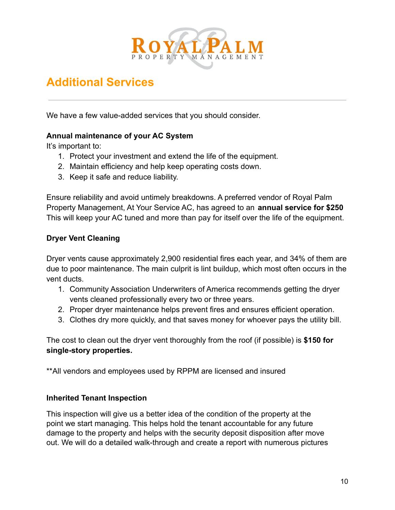

## **Additional Services**

We have a few value-added services that you should consider.

#### **Annual maintenance of your AC System**

It's important to:

- 1. Protect your investment and extend the life of the equipment.
- 2. Maintain efficiency and help keep operating costs down.
- 3. Keep it safe and reduce liability.

Ensure reliability and avoid untimely breakdowns. A preferred vendor of Royal Palm Property Management, At Your Service AC, has agreed to an **annual service for \$250** This will keep your AC tuned and more than pay for itself over the life of the equipment.

#### **Dryer Vent Cleaning**

Dryer vents cause approximately 2,900 residential fires each year, and 34% of them are due to poor maintenance. The main culprit is lint buildup, which most often occurs in the vent ducts.

- 1. Community Association Underwriters of America recommends getting the dryer vents cleaned professionally every two or three years.
- 2. Proper dryer maintenance helps prevent fires and ensures efficient operation.
- 3. Clothes dry more quickly, and that saves money for whoever pays the utility bill.

The cost to clean out the dryer vent thoroughly from the roof (if possible) is **\$150 for single-story properties.**

\*\*All vendors and employees used by RPPM are licensed and insured

#### **Inherited Tenant Inspection**

This inspection will give us a better idea of the condition of the property at the point we start managing. This helps hold the tenant accountable for any future damage to the property and helps with the security deposit disposition after move out. We will do a detailed walk-through and create a report with numerous pictures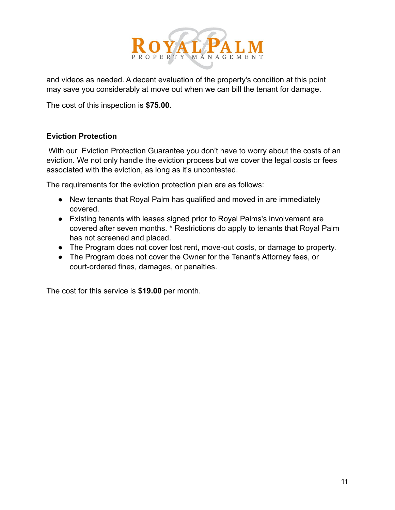

and videos as needed. A decent evaluation of the property's condition at this point may save you considerably at move out when we can bill the tenant for damage.

The cost of this inspection is **\$75.00.**

#### **Eviction Protection**

With our Eviction Protection Guarantee you don't have to worry about the costs of an eviction. We not only handle the eviction process but we cover the legal costs or fees associated with the eviction, as long as it's uncontested.

The requirements for the eviction protection plan are as follows:

- New tenants that Royal Palm has qualified and moved in are immediately covered.
- Existing tenants with leases signed prior to Royal Palms's involvement are covered after seven months. \* Restrictions do apply to tenants that Royal Palm has not screened and placed.
- The Program does not cover lost rent, move-out costs, or damage to property.
- The Program does not cover the Owner for the Tenant's Attorney fees, or court-ordered fines, damages, or penalties.

The cost for this service is **\$19.00** per month.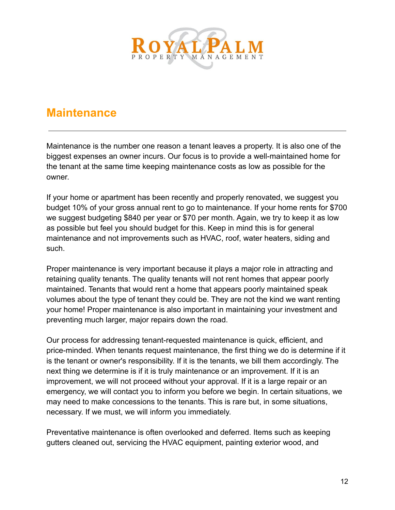

## **Maintenance**

Maintenance is the number one reason a tenant leaves a property. It is also one of the biggest expenses an owner incurs. Our focus is to provide a well-maintained home for the tenant at the same time keeping maintenance costs as low as possible for the owner.

If your home or apartment has been recently and properly renovated, we suggest you budget 10% of your gross annual rent to go to maintenance. If your home rents for \$700 we suggest budgeting \$840 per year or \$70 per month. Again, we try to keep it as low as possible but feel you should budget for this. Keep in mind this is for general maintenance and not improvements such as HVAC, roof, water heaters, siding and such.

Proper maintenance is very important because it plays a major role in attracting and retaining quality tenants. The quality tenants will not rent homes that appear poorly maintained. Tenants that would rent a home that appears poorly maintained speak volumes about the type of tenant they could be. They are not the kind we want renting your home! Proper maintenance is also important in maintaining your investment and preventing much larger, major repairs down the road.

Our process for addressing tenant-requested maintenance is quick, efficient, and price-minded. When tenants request maintenance, the first thing we do is determine if it is the tenant or owner's responsibility. If it is the tenants, we bill them accordingly. The next thing we determine is if it is truly maintenance or an improvement. If it is an improvement, we will not proceed without your approval. If it is a large repair or an emergency, we will contact you to inform you before we begin. In certain situations, we may need to make concessions to the tenants. This is rare but, in some situations, necessary. If we must, we will inform you immediately.

Preventative maintenance is often overlooked and deferred. Items such as keeping gutters cleaned out, servicing the HVAC equipment, painting exterior wood, and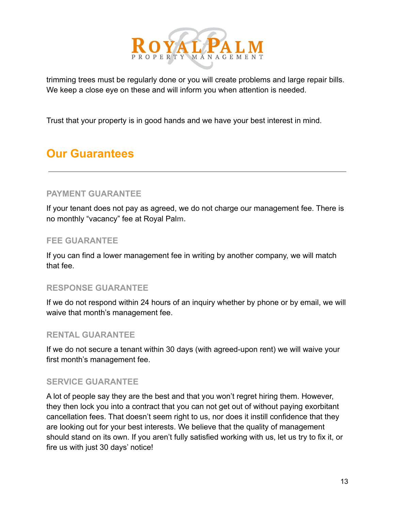

trimming trees must be regularly done or you will create problems and large repair bills. We keep a close eye on these and will inform you when attention is needed.

Trust that your property is in good hands and we have your best interest in mind.

## **Our Guarantees**

#### **PAYMENT GUARANTEE**

If your tenant does not pay as agreed, we do not charge our management fee. There is no monthly "vacancy" fee at Royal Pal**m.**

#### **FEE GUARANTEE**

If you can find a lower management fee in writing by another company, we will match that fee.

#### **RESPONSE GUARANTEE**

If we do not respond within 24 hours of an inquiry whether by phone or by email, we will waive that month's management fee.

#### **RENTAL GUARANTEE**

If we do not secure a tenant within 30 days (with agreed-upon rent) we will waive your first month's management fee.

#### **SERVICE GUARANTEE**

A lot of people say they are the best and that you won't regret hiring them. However, they then lock you into a contract that you can not get out of without paying exorbitant cancellation fees. That doesn't seem right to us, nor does it instill confidence that they are looking out for your best interests. We believe that the quality of management should stand on its own. If you aren't fully satisfied working with us, let us try to fix it, or fire us with just 30 days' notice!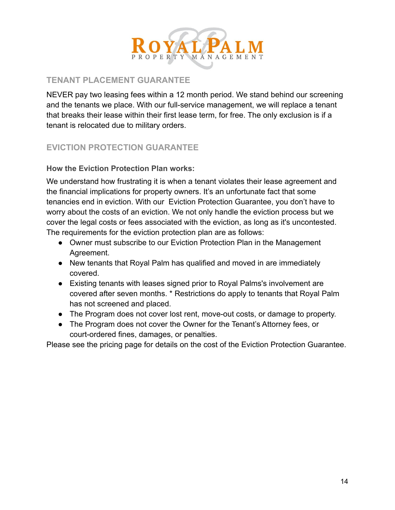

#### **TENANT PLACEMENT GUARANTEE**

NEVER pay two leasing fees within a 12 month period. We stand behind our screening and the tenants we place. With our full-service management, we will replace a tenant that breaks their lease within their first lease term, for free. The only exclusion is if a tenant is relocated due to military orders.

#### **EVICTION PROTECTION GUARANTEE**

**How the Eviction Protection Plan works:**

We understand how frustrating it is when a tenant violates their lease agreement and the financial implications for property owners. It's an unfortunate fact that some tenancies end in eviction. With our Eviction Protection Guarantee, you don't have to worry about the costs of an eviction. We not only handle the eviction process but we cover the legal costs or fees associated with the eviction, as long as it's uncontested. The requirements for the eviction protection plan are as follows:

- Owner must subscribe to our Eviction Protection Plan in the Management Agreement.
- New tenants that Royal Palm has qualified and moved in are immediately covered.
- Existing tenants with leases signed prior to Royal Palms's involvement are covered after seven months. \* Restrictions do apply to tenants that Royal Palm has not screened and placed.
- The Program does not cover lost rent, move-out costs, or damage to property.
- The Program does not cover the Owner for the Tenant's Attorney fees, or court-ordered fines, damages, or penalties.

Please see the pricing page for details on the cost of the Eviction Protection Guarantee.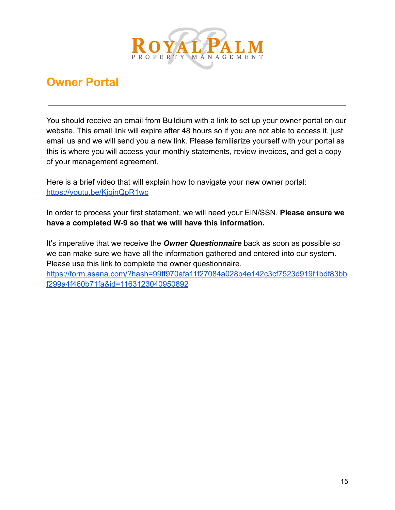

## **Owner Portal**

You should receive an email from Buildium with a link to set up your owner portal on our website. This email link will expire after 48 hours so if you are not able to access it, just email us and we will send you a new link. Please familiarize yourself with your portal as this is where you will access your monthly statements, review invoices, and get a copy of your management agreement.

Here is a brief video that will explain how to navigate your new owner portal: <https://youtu.be/KjqjnQpR1wc>

In order to process your first statement, we will need your EIN/SSN. **Please ensure we have a completed W-9 so that we will have this information.**

It's imperative that we receive the *Owner Questionnaire* back as soon as possible so we can make sure we have all the information gathered and entered into our system. Please use this link to complete the owner questionnaire. [https://form.asana.com/?hash=99ff970afa11f27084a028b4e142c3cf7523d919f1bdf83bb](https://form.asana.com/?hash=99ff970afa11f27084a028b4e142c3cf7523d919f1bdf83bbf299a4f460b71fa&id=1163123040950892)

[f299a4f460b71fa&id=1163123040950892](https://form.asana.com/?hash=99ff970afa11f27084a028b4e142c3cf7523d919f1bdf83bbf299a4f460b71fa&id=1163123040950892)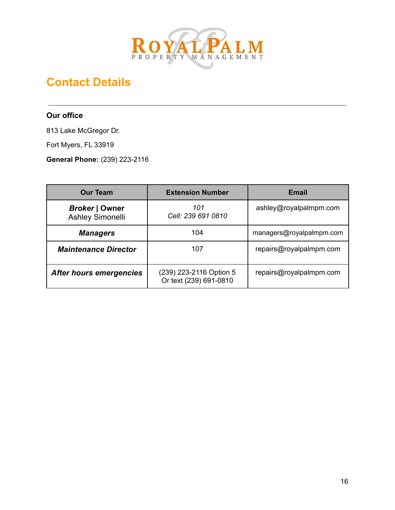

## **Contact Details**

#### **Our office**

813 Lake McGregor Dr.

Fort Myers, FL 33919

**General Phone:** (239) 223-2116

| <b>Our Team</b>                           | <b>Extension Number</b>                           | <b>Email</b>             |
|-------------------------------------------|---------------------------------------------------|--------------------------|
| <b>Broker   Owner</b><br>Ashley Simonelli | 101<br>Cell: 239 691 0810                         | ashley@royalpalmpm.com   |
| <b>Managers</b>                           | 104                                               | managers@royalpalmpm.com |
| <b>Maintenance Director</b>               | 107                                               | repairs@royalpalmpm.com  |
| <b>After hours emergencies</b>            | (239) 223-2116 Option 5<br>Or text (239) 691-0810 | repairs@royalpalmpm.com  |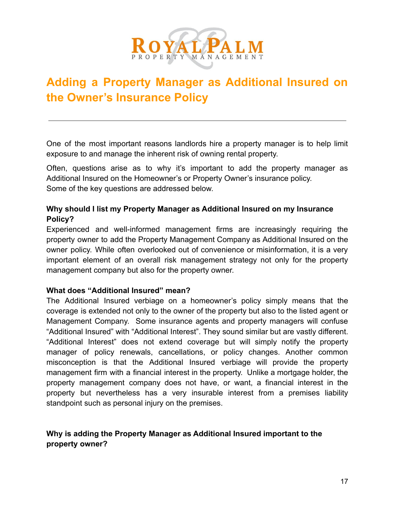

## **Adding a Property Manager as Additional Insured on the Owner's Insurance Policy**

One of the most important reasons landlords hire a property manager is to help limit exposure to and manage the inherent risk of owning rental property.

Often, questions arise as to why it's important to add the property manager as Additional Insured on the Homeowner's or Property Owner's insurance policy. Some of the key questions are addressed below.

#### **Why should I list my Property Manager as Additional Insured on my Insurance Policy?**

Experienced and well-informed management firms are increasingly requiring the property owner to add the Property Management Company as Additional Insured on the owner policy. While often overlooked out of convenience or misinformation, it is a very important element of an overall risk management strategy not only for the property management company but also for the property owner.

#### **What does "Additional Insured" mean?**

The Additional Insured verbiage on a homeowner's policy simply means that the coverage is extended not only to the owner of the property but also to the listed agent or Management Company. Some insurance agents and property managers will confuse "Additional Insured" with "Additional Interest". They sound similar but are vastly different. "Additional Interest" does not extend coverage but will simply notify the property manager of policy renewals, cancellations, or policy changes. Another common misconception is that the Additional Insured verbiage will provide the property management firm with a financial interest in the property. Unlike a mortgage holder, the property management company does not have, or want, a financial interest in the property but nevertheless has a very insurable interest from a premises liability standpoint such as personal injury on the premises.

#### **Why is adding the Property Manager as Additional Insured important to the property owner?**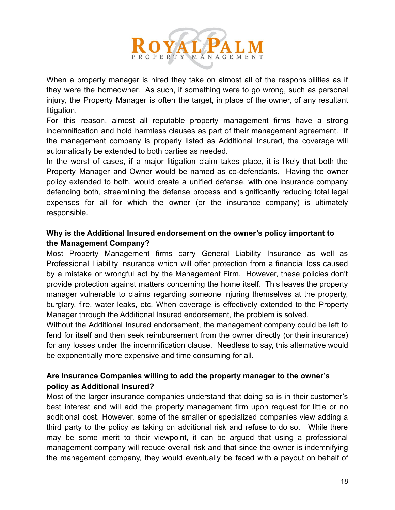

When a property manager is hired they take on almost all of the responsibilities as if they were the homeowner. As such, if something were to go wrong, such as personal injury, the Property Manager is often the target, in place of the owner, of any resultant litigation.

For this reason, almost all reputable property management firms have a strong indemnification and hold harmless clauses as part of their management agreement. If the management company is properly listed as Additional Insured, the coverage will automatically be extended to both parties as needed.

In the worst of cases, if a major litigation claim takes place, it is likely that both the Property Manager and Owner would be named as co-defendants. Having the owner policy extended to both, would create a unified defense, with one insurance company defending both, streamlining the defense process and significantly reducing total legal expenses for all for which the owner (or the insurance company) is ultimately responsible.

#### **Why is the Additional Insured endorsement on the owner's policy important to the Management Company?**

Most Property Management firms carry General Liability Insurance as well as Professional Liability insurance which will offer protection from a financial loss caused by a mistake or wrongful act by the Management Firm. However, these policies don't provide protection against matters concerning the home itself. This leaves the property manager vulnerable to claims regarding someone injuring themselves at the property, burglary, fire, water leaks, etc. When coverage is effectively extended to the Property Manager through the Additional Insured endorsement, the problem is solved.

Without the Additional Insured endorsement, the management company could be left to fend for itself and then seek reimbursement from the owner directly (or their insurance) for any losses under the indemnification clause. Needless to say, this alternative would be exponentially more expensive and time consuming for all.

#### **Are Insurance Companies willing to add the property manager to the owner's policy as Additional Insured?**

Most of the larger insurance companies understand that doing so is in their customer's best interest and will add the property management firm upon request for little or no additional cost. However, some of the smaller or specialized companies view adding a third party to the policy as taking on additional risk and refuse to do so. While there may be some merit to their viewpoint, it can be argued that using a professional management company will reduce overall risk and that since the owner is indemnifying the management company, they would eventually be faced with a payout on behalf of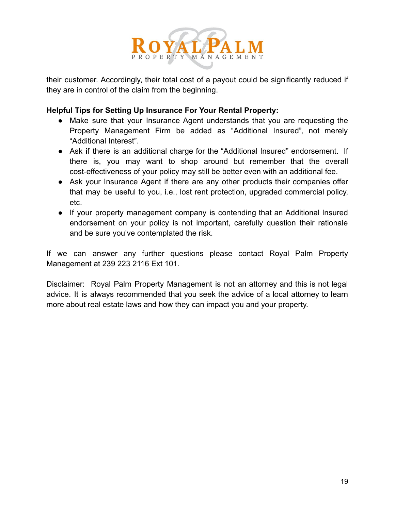

their customer. Accordingly, their total cost of a payout could be significantly reduced if they are in control of the claim from the beginning.

#### **Helpful Tips for Setting Up Insurance For Your Rental Property:**

- Make sure that your Insurance Agent understands that you are requesting the Property Management Firm be added as "Additional Insured", not merely "Additional Interest".
- Ask if there is an additional charge for the "Additional Insured" endorsement. If there is, you may want to shop around but remember that the overall cost-effectiveness of your policy may still be better even with an additional fee.
- Ask your Insurance Agent if there are any other products their companies offer that may be useful to you, i.e., lost rent protection, upgraded commercial policy, etc.
- If your property management company is contending that an Additional Insured endorsement on your policy is not important, carefully question their rationale and be sure you've contemplated the risk.

If we can answer any further questions please contact Royal Palm Property Management at 239 223 2116 Ext 101.

Disclaimer: Royal Palm Property Management is not an attorney and this is not legal advice. It is always recommended that you seek the advice of a local attorney to learn more about real estate laws and how they can impact you and your property.